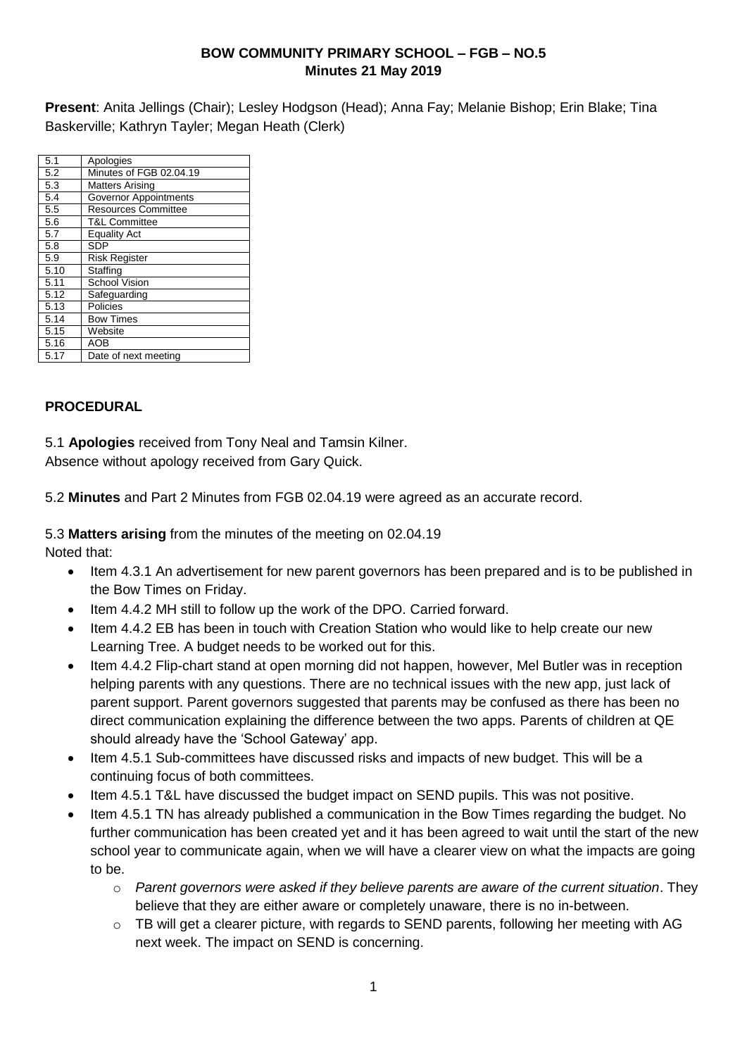#### **BOW COMMUNITY PRIMARY SCHOOL – FGB – NO.5 Minutes 21 May 2019**

**Present**: Anita Jellings (Chair); Lesley Hodgson (Head); Anna Fay; Melanie Bishop; Erin Blake; Tina Baskerville; Kathryn Tayler; Megan Heath (Clerk)

| 5.1  | Apologies                    |
|------|------------------------------|
| 5.2  | Minutes of FGB 02.04.19      |
| 5.3  | <b>Matters Arising</b>       |
| 5.4  | <b>Governor Appointments</b> |
| 5.5  | <b>Resources Committee</b>   |
| 5.6  | <b>T&amp;L Committee</b>     |
| 5.7  | <b>Equality Act</b>          |
| 5.8  | <b>SDP</b>                   |
| 5.9  | <b>Risk Register</b>         |
| 5.10 | Staffing                     |
| 5.11 | <b>School Vision</b>         |
| 5.12 | Safeguarding                 |
| 5.13 | Policies                     |
| 5.14 | <b>Bow Times</b>             |
| 5.15 | Website                      |
| 5.16 | <b>AOB</b>                   |
| 5.17 | Date of next meeting         |

## **PROCEDURAL**

5.1 **Apologies** received from Tony Neal and Tamsin Kilner.

Absence without apology received from Gary Quick.

5.2 **Minutes** and Part 2 Minutes from FGB 02.04.19 were agreed as an accurate record.

5.3 **Matters arising** from the minutes of the meeting on 02.04.19

Noted that:

- Item 4.3.1 An advertisement for new parent governors has been prepared and is to be published in the Bow Times on Friday.
- Item 4.4.2 MH still to follow up the work of the DPO. Carried forward.
- Item 4.4.2 EB has been in touch with Creation Station who would like to help create our new Learning Tree. A budget needs to be worked out for this.
- Item 4.4.2 Flip-chart stand at open morning did not happen, however, Mel Butler was in reception helping parents with any questions. There are no technical issues with the new app, just lack of parent support. Parent governors suggested that parents may be confused as there has been no direct communication explaining the difference between the two apps. Parents of children at QE should already have the 'School Gateway' app.
- Item 4.5.1 Sub-committees have discussed risks and impacts of new budget. This will be a continuing focus of both committees.
- Item 4.5.1 T&L have discussed the budget impact on SEND pupils. This was not positive.
- Item 4.5.1 TN has already published a communication in the Bow Times regarding the budget. No further communication has been created yet and it has been agreed to wait until the start of the new school year to communicate again, when we will have a clearer view on what the impacts are going to be.
	- o *Parent governors were asked if they believe parents are aware of the current situation*. They believe that they are either aware or completely unaware, there is no in-between.
	- o TB will get a clearer picture, with regards to SEND parents, following her meeting with AG next week. The impact on SEND is concerning.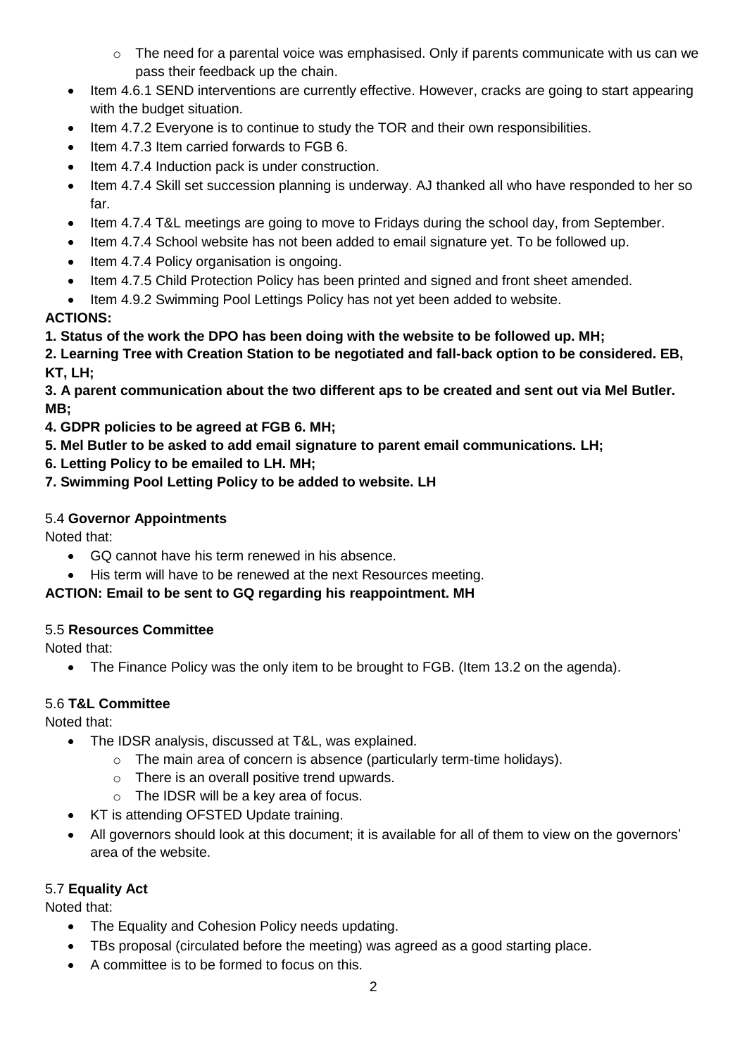- o The need for a parental voice was emphasised. Only if parents communicate with us can we pass their feedback up the chain.
- Item 4.6.1 SEND interventions are currently effective. However, cracks are going to start appearing with the budget situation.
- Item 4.7.2 Everyone is to continue to study the TOR and their own responsibilities.
- Item 4.7.3 Item carried forwards to FGB 6.
- Item 4.7.4 Induction pack is under construction.
- Item 4.7.4 Skill set succession planning is underway. AJ thanked all who have responded to her so far.
- Item 4.7.4 T&L meetings are going to move to Fridays during the school day, from September.
- Item 4.7.4 School website has not been added to email signature yet. To be followed up.
- Item 4.7.4 Policy organisation is ongoing.
- Item 4.7.5 Child Protection Policy has been printed and signed and front sheet amended.
- Item 4.9.2 Swimming Pool Lettings Policy has not yet been added to website.

## **ACTIONS:**

## **1. Status of the work the DPO has been doing with the website to be followed up. MH;**

**2. Learning Tree with Creation Station to be negotiated and fall-back option to be considered. EB, KT, LH;**

#### **3. A parent communication about the two different aps to be created and sent out via Mel Butler. MB;**

- **4. GDPR policies to be agreed at FGB 6. MH;**
- **5. Mel Butler to be asked to add email signature to parent email communications. LH;**
- **6. Letting Policy to be emailed to LH. MH;**
- **7. Swimming Pool Letting Policy to be added to website. LH**

## 5.4 **Governor Appointments**

Noted that:

- GQ cannot have his term renewed in his absence.
- His term will have to be renewed at the next Resources meeting.

## **ACTION: Email to be sent to GQ regarding his reappointment. MH**

## 5.5 **Resources Committee**

Noted that:

The Finance Policy was the only item to be brought to FGB. (Item 13.2 on the agenda).

## 5.6 **T&L Committee**

Noted that:

- The IDSR analysis, discussed at T&L, was explained.
	- $\circ$  The main area of concern is absence (particularly term-time holidays).
	- o There is an overall positive trend upwards.
	- o The IDSR will be a key area of focus.
- KT is attending OFSTED Update training.
- All governors should look at this document; it is available for all of them to view on the governors' area of the website.

## 5.7 **Equality Act**

Noted that:

- The Equality and Cohesion Policy needs updating.
- TBs proposal (circulated before the meeting) was agreed as a good starting place.
- A committee is to be formed to focus on this.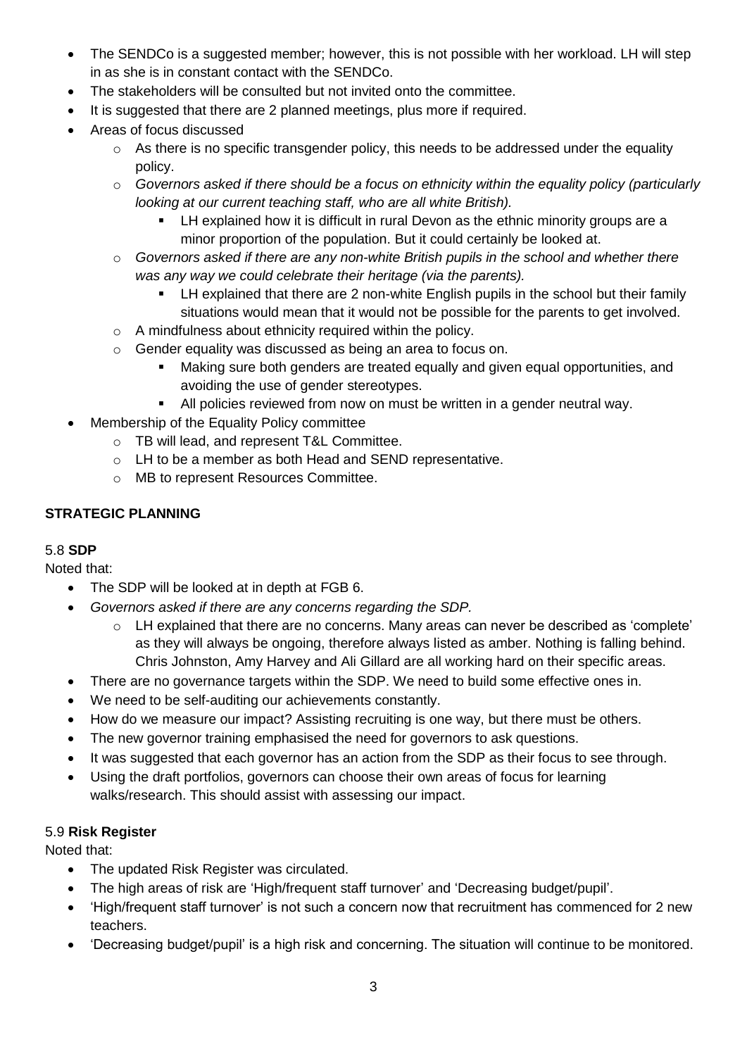- The SENDCo is a suggested member; however, this is not possible with her workload. LH will step in as she is in constant contact with the SENDCo.
- The stakeholders will be consulted but not invited onto the committee.
- It is suggested that there are 2 planned meetings, plus more if required.
- Areas of focus discussed
	- o As there is no specific transgender policy, this needs to be addressed under the equality policy.
	- o *Governors asked if there should be a focus on ethnicity within the equality policy (particularly looking at our current teaching staff, who are all white British).*
		- LH explained how it is difficult in rural Devon as the ethnic minority groups are a minor proportion of the population. But it could certainly be looked at.
	- o *Governors asked if there are any non-white British pupils in the school and whether there was any way we could celebrate their heritage (via the parents).*
		- LH explained that there are 2 non-white English pupils in the school but their family situations would mean that it would not be possible for the parents to get involved.
	- o A mindfulness about ethnicity required within the policy.
	- o Gender equality was discussed as being an area to focus on.
		- Making sure both genders are treated equally and given equal opportunities, and avoiding the use of gender stereotypes.
		- All policies reviewed from now on must be written in a gender neutral way.
- Membership of the Equality Policy committee
	- o TB will lead, and represent T&L Committee.
	- o LH to be a member as both Head and SEND representative.
	- o MB to represent Resources Committee.

#### **STRATEGIC PLANNING**

#### 5.8 **SDP**

Noted that:

- The SDP will be looked at in depth at FGB 6.
- *Governors asked if there are any concerns regarding the SDP.*
	- o LH explained that there are no concerns. Many areas can never be described as 'complete' as they will always be ongoing, therefore always listed as amber. Nothing is falling behind. Chris Johnston, Amy Harvey and Ali Gillard are all working hard on their specific areas.
- There are no governance targets within the SDP. We need to build some effective ones in.
- We need to be self-auditing our achievements constantly.
- How do we measure our impact? Assisting recruiting is one way, but there must be others.
- The new governor training emphasised the need for governors to ask questions.
- It was suggested that each governor has an action from the SDP as their focus to see through.
- Using the draft portfolios, governors can choose their own areas of focus for learning walks/research. This should assist with assessing our impact.

#### 5.9 **Risk Register**

Noted that:

- The updated Risk Register was circulated.
- The high areas of risk are 'High/frequent staff turnover' and 'Decreasing budget/pupil'.
- 'High/frequent staff turnover' is not such a concern now that recruitment has commenced for 2 new teachers.
- 'Decreasing budget/pupil' is a high risk and concerning. The situation will continue to be monitored.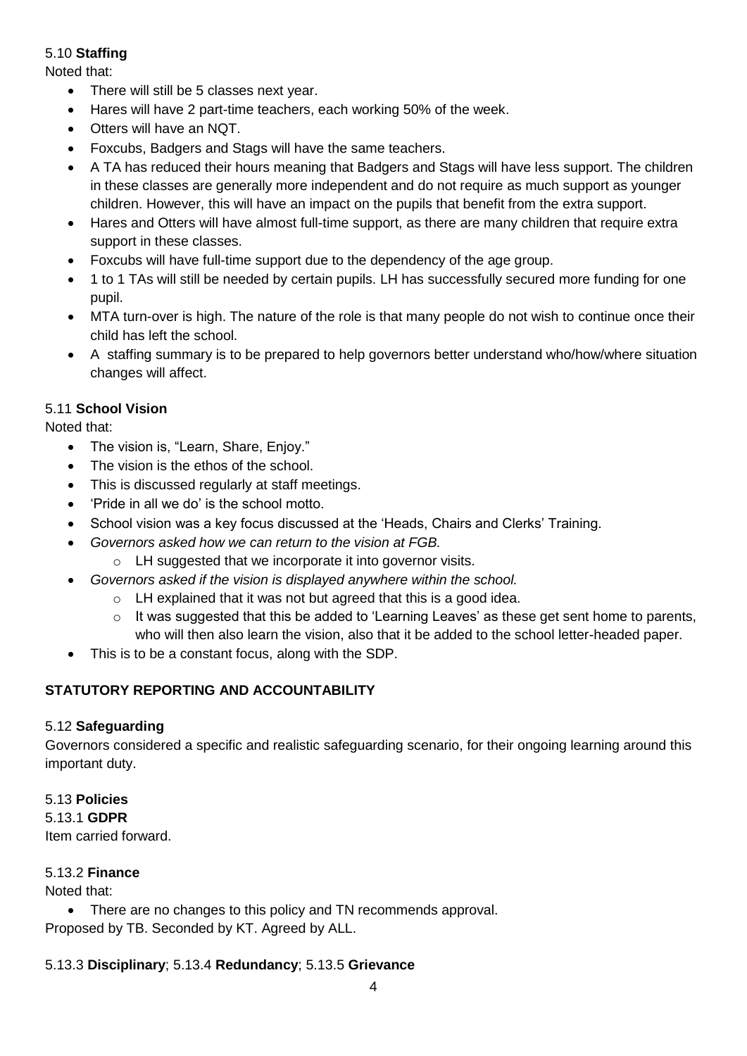#### 5.10 **Staffing**

Noted that:

- There will still be 5 classes next year.
- Hares will have 2 part-time teachers, each working 50% of the week.
- Otters will have an NQT.
- Foxcubs, Badgers and Stags will have the same teachers.
- A TA has reduced their hours meaning that Badgers and Stags will have less support. The children in these classes are generally more independent and do not require as much support as younger children. However, this will have an impact on the pupils that benefit from the extra support.
- Hares and Otters will have almost full-time support, as there are many children that require extra support in these classes.
- Foxcubs will have full-time support due to the dependency of the age group.
- 1 to 1 TAs will still be needed by certain pupils. LH has successfully secured more funding for one pupil.
- MTA turn-over is high. The nature of the role is that many people do not wish to continue once their child has left the school.
- A staffing summary is to be prepared to help governors better understand who/how/where situation changes will affect.

#### 5.11 **School Vision**

Noted that:

- The vision is, "Learn, Share, Enjoy."
- The vision is the ethos of the school.
- This is discussed regularly at staff meetings.
- 'Pride in all we do' is the school motto.
- School vision was a key focus discussed at the 'Heads, Chairs and Clerks' Training.
- *Governors asked how we can return to the vision at FGB.*
	- o LH suggested that we incorporate it into governor visits.
- *Governors asked if the vision is displayed anywhere within the school.*
	- o LH explained that it was not but agreed that this is a good idea.
	- $\circ$  It was suggested that this be added to 'Learning Leaves' as these get sent home to parents, who will then also learn the vision, also that it be added to the school letter-headed paper.
- This is to be a constant focus, along with the SDP.

## **STATUTORY REPORTING AND ACCOUNTABILITY**

#### 5.12 **Safeguarding**

Governors considered a specific and realistic safeguarding scenario, for their ongoing learning around this important duty.

#### 5.13 **Policies**

5.13.1 **GDPR** Item carried forward.

#### 5.13.2 **Finance**

Noted that:

• There are no changes to this policy and TN recommends approval. Proposed by TB. Seconded by KT. Agreed by ALL.

#### 5.13.3 **Disciplinary**; 5.13.4 **Redundancy**; 5.13.5 **Grievance**